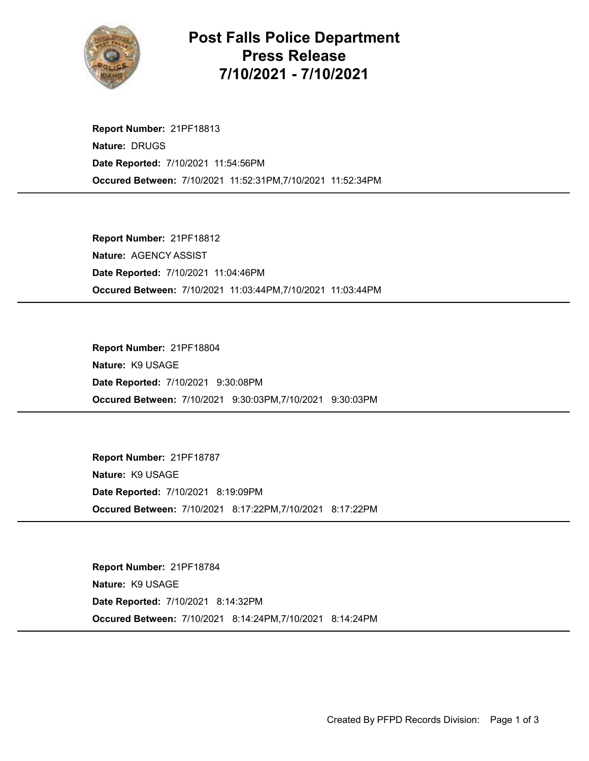

## Post Falls Police Department Press Release 7/10/2021 - 7/10/2021

Occured Between: 7/10/2021 11:52:31PM,7/10/2021 11:52:34PM Report Number: 21PF18813 Nature: DRUGS Date Reported: 7/10/2021 11:54:56PM

Occured Between: 7/10/2021 11:03:44PM,7/10/2021 11:03:44PM Report Number: 21PF18812 Nature: AGENCY ASSIST Date Reported: 7/10/2021 11:04:46PM

Occured Between: 7/10/2021 9:30:03PM,7/10/2021 9:30:03PM Report Number: 21PF18804 Nature: K9 USAGE Date Reported: 7/10/2021 9:30:08PM

Occured Between: 7/10/2021 8:17:22PM,7/10/2021 8:17:22PM Report Number: 21PF18787 Nature: K9 USAGE Date Reported: 7/10/2021 8:19:09PM

Occured Between: 7/10/2021 8:14:24PM,7/10/2021 8:14:24PM Report Number: 21PF18784 Nature: K9 USAGE Date Reported: 7/10/2021 8:14:32PM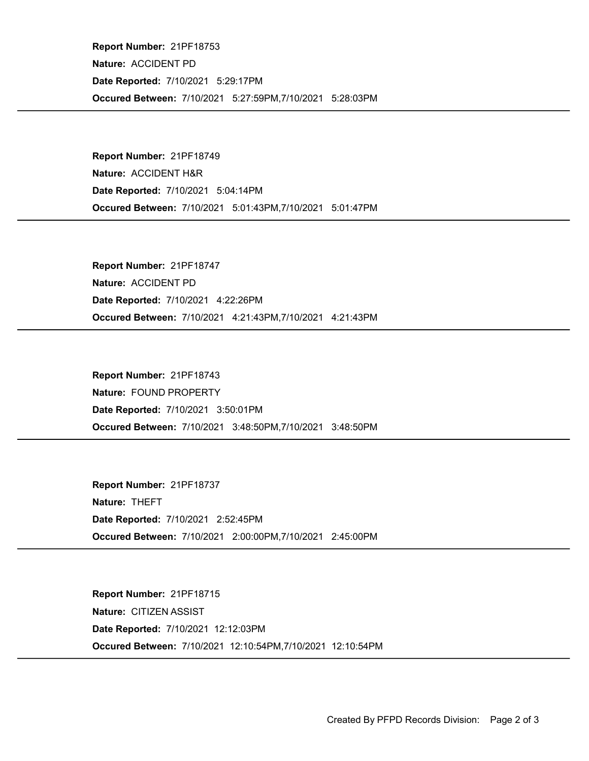Occured Between: 7/10/2021 5:27:59PM,7/10/2021 5:28:03PM Report Number: 21PF18753 Nature: ACCIDENT PD Date Reported: 7/10/2021 5:29:17PM

Occured Between: 7/10/2021 5:01:43PM,7/10/2021 5:01:47PM Report Number: 21PF18749 Nature: ACCIDENT H&R Date Reported: 7/10/2021 5:04:14PM

Occured Between: 7/10/2021 4:21:43PM,7/10/2021 4:21:43PM Report Number: 21PF18747 Nature: ACCIDENT PD Date Reported: 7/10/2021 4:22:26PM

Occured Between: 7/10/2021 3:48:50PM,7/10/2021 3:48:50PM Report Number: 21PF18743 Nature: FOUND PROPERTY Date Reported: 7/10/2021 3:50:01PM

Occured Between: 7/10/2021 2:00:00PM,7/10/2021 2:45:00PM Report Number: 21PF18737 Nature: THEFT Date Reported: 7/10/2021 2:52:45PM

Occured Between: 7/10/2021 12:10:54PM,7/10/2021 12:10:54PM Report Number: 21PF18715 Nature: CITIZEN ASSIST Date Reported: 7/10/2021 12:12:03PM